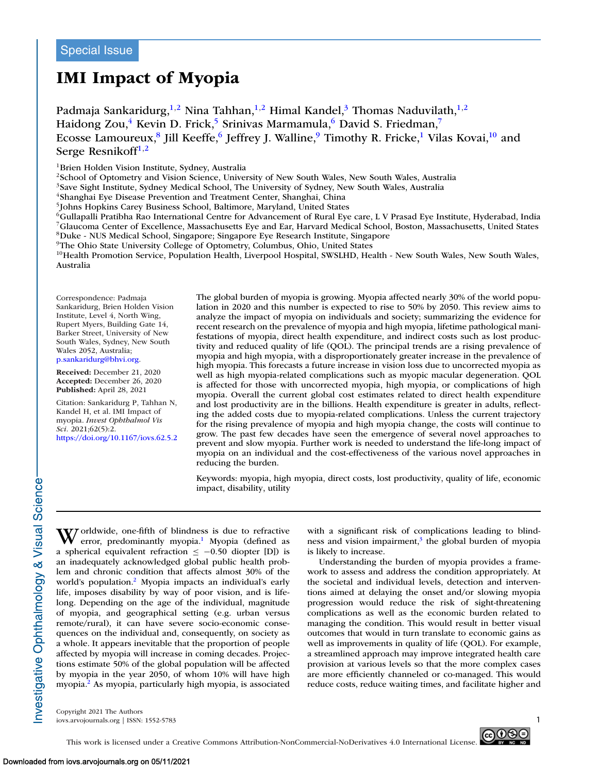# **IMI Impact of Myopia**

Padmaja Sankaridurg,<sup>1,2</sup> Nina Tahhan,<sup>1,2</sup> Himal Kandel,<sup>3</sup> Thomas Naduvilath,<sup>1,2</sup> Haidong Zou,<sup>4</sup> Kevin D. Frick,<sup>5</sup> Srinivas Marmamula,<sup>6</sup> David S. Friedman,<sup>7</sup> Ecosse Lamoureux,<sup>8</sup> Jill Keeffe,<sup>6</sup> Jeffrey J. Walline,<sup>9</sup> Timothy R. Fricke,<sup>1</sup> Vilas Kovai,<sup>10</sup> and Serge Resnikoff $1,2$ 

<sup>1</sup>Brien Holden Vision Institute, Sydney, Australia

2School of Optometry and Vision Science, University of New South Wales, New South Wales, Australia

<sup>3</sup>Save Sight Institute, Sydney Medical School, The University of Sydney, New South Wales, Australia

<sup>4</sup>Shanghai Eye Disease Prevention and Treatment Center, Shanghai, China

5Johns Hopkins Carey Business School, Baltimore, Maryland, United States

6Gullapalli Pratibha Rao International Centre for Advancement of Rural Eye care, L V Prasad Eye Institute, Hyderabad, India 7Glaucoma Center of Excellence, Massachusetts Eye and Ear, Harvard Medical School, Boston, Massachusetts, United States 8Duke - NUS Medical School, Singapore; Singapore Eye Research Institute, Singapore

9The Ohio State University College of Optometry, Columbus, Ohio, United States

 $10$ Health Promotion Service, Population Health, Liverpool Hospital, SWSLHD, Health - New South Wales, New South Wales, Australia

Correspondence: Padmaja Sankaridurg, Brien Holden Vision Institute, Level 4, North Wing, Rupert Myers, Building Gate 14, Barker Street, University of New South Wales, Sydney, New South Wales 2052, Australia; [p.sankaridurg@bhvi.org.](mailto:p.sankaridurg@bhvi.org)

**Received:** December 21, 2020 **Accepted:** December 26, 2020 **Published:** April 28, 2021

Citation: Sankaridurg P, Tahhan N, Kandel H, et al. IMI Impact of myopia. *Invest Ophthalmol Vis Sci.* 2021;62(5):2. <https://doi.org/10.1167/iovs.62.5.2> The global burden of myopia is growing. Myopia affected nearly 30% of the world population in 2020 and this number is expected to rise to 50% by 2050. This review aims to analyze the impact of myopia on individuals and society; summarizing the evidence for recent research on the prevalence of myopia and high myopia, lifetime pathological manifestations of myopia, direct health expenditure, and indirect costs such as lost productivity and reduced quality of life (QOL). The principal trends are a rising prevalence of myopia and high myopia, with a disproportionately greater increase in the prevalence of high myopia. This forecasts a future increase in vision loss due to uncorrected myopia as well as high myopia-related complications such as myopic macular degeneration. QOL is affected for those with uncorrected myopia, high myopia, or complications of high myopia. Overall the current global cost estimates related to direct health expenditure and lost productivity are in the billions. Health expenditure is greater in adults, reflecting the added costs due to myopia-related complications. Unless the current trajectory for the rising prevalence of myopia and high myopia change, the costs will continue to grow. The past few decades have seen the emergence of several novel approaches to prevent and slow myopia. Further work is needed to understand the life-long impact of myopia on an individual and the cost-effectiveness of the various novel approaches in reducing the burden.

Keywords: myopia, high myopia, direct costs, lost productivity, quality of life, economic impact, disability, utility

Worldwide, one-fifth of blindness is due to refractive<br>error, predominantly myopia.<sup>1</sup> Myopia (defined as a spherical equivalent refraction  $\le -0.50$  diopter [D]) is an inadequately acknowledged global public health problem and chronic condition that affects almost 30% of the world's population.<sup>2</sup> Myopia impacts an individual's early life, imposes disability by way of poor vision, and is lifelong. Depending on the age of the individual, magnitude of myopia, and geographical setting (e.g. urban versus remote/rural), it can have severe socio-economic consequences on the individual and, consequently, on society as a whole. It appears inevitable that the proportion of people affected by myopia will increase in coming decades. Projections estimate 50% of the global population will be affected by myopia in the year 2050, of whom 10% will have high myopia[.2](#page-9-0) As myopia, particularly high myopia, is associated with a significant risk of complications leading to blindness and vision impairment, $3$  the global burden of myopia is likely to increase.

Understanding the burden of myopia provides a framework to assess and address the condition appropriately. At the societal and individual levels, detection and interventions aimed at delaying the onset and/or slowing myopia progression would reduce the risk of sight-threatening complications as well as the economic burden related to managing the condition. This would result in better visual outcomes that would in turn translate to economic gains as well as improvements in quality of life (QOL). For example, a streamlined approach may improve integrated health care provision at various levels so that the more complex cases are more efficiently channeled or co-managed. This would reduce costs, reduce waiting times, and facilitate higher and

Copyright 2021 The Authors iovs.arvojournals.org | ISSN: 1552-5783 1

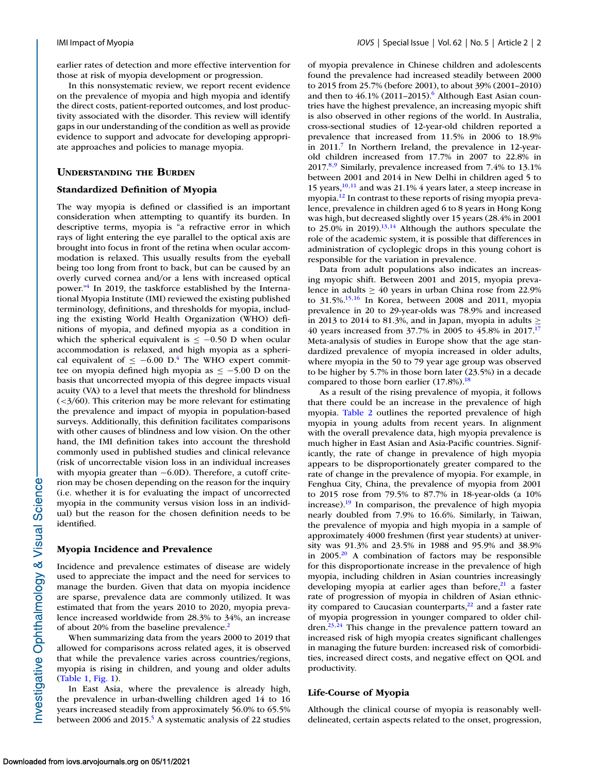earlier rates of detection and more effective intervention for those at risk of myopia development or progression.

In this nonsystematic review, we report recent evidence on the prevalence of myopia and high myopia and identify the direct costs, patient-reported outcomes, and lost productivity associated with the disorder. This review will identify gaps in our understanding of the condition as well as provide evidence to support and advocate for developing appropriate approaches and policies to manage myopia.

# **UNDERSTANDING THE BURDEN**

### **Standardized Definition of Myopia**

The way myopia is defined or classified is an important consideration when attempting to quantify its burden. In descriptive terms, myopia is "a refractive error in which rays of light entering the eye parallel to the optical axis are brought into focus in front of the retina when ocular accommodation is relaxed. This usually results from the eyeball being too long from front to back, but can be caused by an overly curved cornea and/or a lens with increased optical power.["4](#page-9-0) In 2019, the taskforce established by the International Myopia Institute (IMI) reviewed the existing published terminology, definitions, and thresholds for myopia, including the existing World Health Organization (WHO) definitions of myopia, and defined myopia as a condition in which the spherical equivalent is  $\le$  -0.50 D when ocular accommodation is relaxed, and high myopia as a spherical equivalent of  $\leq -6.00$  D.<sup>4</sup> The WHO expert committee on myopia defined high myopia as  $\le$  -5.00 D on the basis that uncorrected myopia of this degree impacts visual acuity (VA) to a level that meets the threshold for blindness  $\left( \frac{3}{60} \right)$ . This criterion may be more relevant for estimating the prevalence and impact of myopia in population-based surveys. Additionally, this definition facilitates comparisons with other causes of blindness and low vision. On the other hand, the IMI definition takes into account the threshold commonly used in published studies and clinical relevance (risk of uncorrectable vision loss in an individual increases with myopia greater than −6.0D). Therefore, a cutoff criterion may be chosen depending on the reason for the inquiry (i.e. whether it is for evaluating the impact of uncorrected myopia in the community versus vision loss in an individual) but the reason for the chosen definition needs to be identified.

# **Myopia Incidence and Prevalence**

Incidence and prevalence estimates of disease are widely used to appreciate the impact and the need for services to manage the burden. Given that data on myopia incidence are sparse, prevalence data are commonly utilized. It was estimated that from the years 2010 to 2020, myopia prevalence increased worldwide from 28.3% to 34%, an increase of about 20% from the baseline prevalence.<sup>2</sup>

When summarizing data from the years 2000 to 2019 that allowed for comparisons across related ages, it is observed that while the prevalence varies across countries/regions, myopia is rising in children, and young and older adults [\(Table 1,](#page-2-0) [Fig. 1\)](#page-2-0).

In East Asia, where the prevalence is already high, the prevalence in urban-dwelling children aged 14 to 16 years increased steadily from approximately 56.0% to 65.5% between 2006 and 2015.<sup>5</sup> A systematic analysis of 22 studies

of myopia prevalence in Chinese children and adolescents found the prevalence had increased steadily between 2000 to 2015 from 25.7% (before 2001), to about 39% (2001–2010) and then to  $46.1\%$  (2011–2015).<sup>6</sup> Although East Asian countries have the highest prevalence, an increasing myopic shift is also observed in other regions of the world. In Australia, cross-sectional studies of 12-year-old children reported a prevalence that increased from 11.5% in 2006 to 18.9% in 2011.<sup>7</sup> In Northern Ireland, the prevalence in 12-yearold children increased from 17.7% in 2007 to 22.8% in 2017[.8,9](#page-9-0) Similarly, prevalence increased from 7.4% to 13.1% between 2001 and 2014 in New Delhi in children aged 5 to 15 years[,10,11](#page-9-0) and was 21.1% 4 years later, a steep increase in myopia[.12](#page-9-0) In contrast to these reports of rising myopia prevalence, prevalence in children aged 6 to 8 years in Hong Kong was high, but decreased slightly over 15 years (28.4% in 2001 to 25.0% in 2019). $^{13,14}$  Although the authors speculate the role of the academic system, it is possible that differences in administration of cycloplegic drops in this young cohort is responsible for the variation in prevalence.

Data from adult populations also indicates an increasing myopic shift. Between 2001 and 2015, myopia prevalence in adults  $\geq 40$  years in urban China rose from 22.9% to 31.5%[.15,16](#page-10-0) In Korea, between 2008 and 2011, myopia prevalence in 20 to 29-year-olds was 78.9% and increased in 2013 to 2014 to 81.3%, and in Japan, myopia in adults  $\geq$ 40 years increased from 37.7% in 2005 to 45.8% in 2017[.17](#page-10-0) Meta-analysis of studies in Europe show that the age standardized prevalence of myopia increased in older adults, where myopia in the 50 to 79 year age group was observed to be higher by 5.7% in those born later (23.5%) in a decade compared to those born earlier  $(17.8\%)$ .<sup>18</sup>

As a result of the rising prevalence of myopia, it follows that there could be an increase in the prevalence of high myopia. [Table 2](#page-3-0) outlines the reported prevalence of high myopia in young adults from recent years. In alignment with the overall prevalence data, high myopia prevalence is much higher in East Asian and Asia-Pacific countries. Significantly, the rate of change in prevalence of high myopia appears to be disproportionately greater compared to the rate of change in the prevalence of myopia. For example, in Fenghua City, China, the prevalence of myopia from 2001 to 2015 rose from 79.5% to 87.7% in 18-year-olds (a 10% increase)[.19](#page-10-0) In comparison, the prevalence of high myopia nearly doubled from 7.9% to 16.6%. Similarly, in Taiwan, the prevalence of myopia and high myopia in a sample of approximately 4000 freshmen (first year students) at university was 91.3% and 23.5% in 1988 and 95.9% and 38.9% in 2005[.20](#page-10-0) A combination of factors may be responsible for this disproportionate increase in the prevalence of high myopia, including children in Asian countries increasingly developing myopia at earlier ages than before, $2<sup>1</sup>$  a faster rate of progression of myopia in children of Asian ethnicity compared to Caucasian counterparts, $2^2$  and a faster rate of myopia progression in younger compared to older children.<sup>23,24</sup> This change in the prevalence pattern toward an increased risk of high myopia creates significant challenges in managing the future burden: increased risk of comorbidities, increased direct costs, and negative effect on QOL and productivity.

# **Life-Course of Myopia**

Although the clinical course of myopia is reasonably welldelineated, certain aspects related to the onset, progression,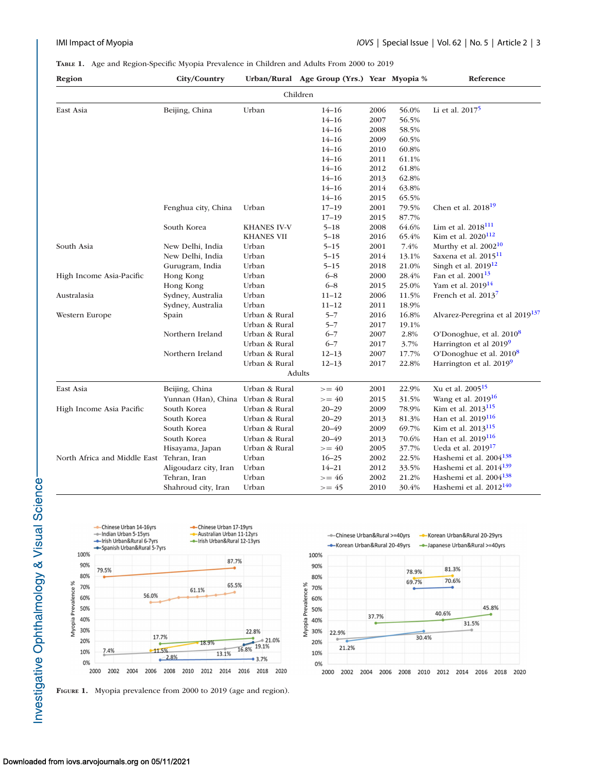# <span id="page-2-0"></span>**TABLE 1.** Age and Region-Specific Myopia Prevalence in Children and Adults From 2000 to 2019

| Region                                    | City/Country                      |                   | Urban/Rural Age Group (Yrs.) Year Myopia % |      |       | Reference                                   |  |  |  |
|-------------------------------------------|-----------------------------------|-------------------|--------------------------------------------|------|-------|---------------------------------------------|--|--|--|
| Children                                  |                                   |                   |                                            |      |       |                                             |  |  |  |
| East Asia                                 | Beijing, China                    | Urban             | $14 - 16$                                  | 2006 | 56.0% | Li et al. $2017^5$                          |  |  |  |
|                                           |                                   |                   | $14 - 16$                                  | 2007 | 56.5% |                                             |  |  |  |
|                                           |                                   |                   | $14 - 16$                                  | 2008 | 58.5% |                                             |  |  |  |
|                                           |                                   |                   | $14 - 16$                                  | 2009 | 60.5% |                                             |  |  |  |
|                                           |                                   |                   | $14 - 16$                                  | 2010 | 60.8% |                                             |  |  |  |
|                                           |                                   |                   | $14 - 16$                                  | 2011 | 61.1% |                                             |  |  |  |
|                                           |                                   |                   | $14 - 16$                                  | 2012 | 61.8% |                                             |  |  |  |
|                                           |                                   |                   | $14 - 16$                                  | 2013 | 62.8% |                                             |  |  |  |
|                                           |                                   |                   | $14 - 16$                                  | 2014 | 63.8% |                                             |  |  |  |
|                                           |                                   |                   | $14 - 16$                                  | 2015 | 65.5% |                                             |  |  |  |
|                                           | Fenghua city, China               | Urban             | $17 - 19$                                  | 2001 | 79.5% | Chen et al. $2018^{19}$                     |  |  |  |
|                                           |                                   |                   | $17 - 19$                                  | 2015 | 87.7% |                                             |  |  |  |
|                                           | South Korea                       | KHANES IV-V       | $5 - 18$                                   | 2008 | 64.6% | Lim et al. $2018^{111}$                     |  |  |  |
|                                           |                                   | <b>KHANES VII</b> | $5 - 18$                                   | 2016 | 65.4% | Kim et al. 2020 <sup>112</sup>              |  |  |  |
| South Asia                                | New Delhi, India                  | Urban             | $5 - 15$                                   | 2001 | 7.4%  | Murthy et al. $2002^{10}$                   |  |  |  |
|                                           | New Delhi, India                  | Urban             | $5 - 15$                                   | 2014 | 13.1% | Saxena et al. 2015 <sup>11</sup>            |  |  |  |
|                                           | Gurugram, India                   | Urban             | $5 - 15$                                   | 2018 | 21.0% | Singh et al. $2019^{12}$                    |  |  |  |
| High Income Asia-Pacific                  | Hong Kong                         | Urban             | $6 - 8$                                    | 2000 | 28.4% | Fan et al. 2001 <sup>13</sup>               |  |  |  |
|                                           | Hong Kong                         | Urban             | $6 - 8$                                    | 2015 | 25.0% | Yam et al. 2019 <sup>14</sup>               |  |  |  |
| Australasia                               | Sydney, Australia                 | Urban             | $11 - 12$                                  | 2006 | 11.5% | French et al. 2013 <sup>7</sup>             |  |  |  |
|                                           | Sydney, Australia                 | Urban             | $11 - 12$                                  | 2011 | 18.9% |                                             |  |  |  |
| Western Europe                            | Spain                             | Urban & Rural     | $5 - 7$                                    | 2016 | 16.8% | Alvarez-Peregrina et al 2019 <sup>137</sup> |  |  |  |
|                                           |                                   | Urban & Rural     | $5 - 7$                                    | 2017 | 19.1% |                                             |  |  |  |
|                                           | Northern Ireland                  | Urban & Rural     | $6 - 7$                                    | 2007 | 2.8%  | O'Donoghue, et al. 2010 <sup>8</sup>        |  |  |  |
|                                           |                                   | Urban & Rural     | $6 - 7$                                    | 2017 | 3.7%  | Harrington et al 2019 <sup>9</sup>          |  |  |  |
|                                           | Northern Ireland                  | Urban & Rural     | $12 - 13$                                  | 2007 | 17.7% | O'Donoghue et al. 2010 <sup>8</sup>         |  |  |  |
|                                           |                                   | Urban & Rural     | $12 - 13$                                  | 2017 | 22.8% | Harrington et al. $2019^9$                  |  |  |  |
|                                           |                                   |                   | Adults                                     |      |       |                                             |  |  |  |
| East Asia                                 | Beijing, China                    | Urban & Rural     | $>= 40$                                    | 2001 | 22.9% | Xu et al. 2005 <sup>15</sup>                |  |  |  |
|                                           | Yunnan (Han), China Urban & Rural |                   | $>= 40$                                    | 2015 | 31.5% | Wang et al. 2019 <sup>16</sup>              |  |  |  |
| High Income Asia Pacific                  | South Korea                       | Urban & Rural     | $20 - 29$                                  | 2009 | 78.9% | Kim et al. 2013 <sup>115</sup>              |  |  |  |
|                                           | South Korea                       | Urban & Rural     | $20 - 29$                                  | 2013 | 81.3% | Han et al. 2019 <sup>116</sup>              |  |  |  |
|                                           | South Korea                       | Urban & Rural     | $20 - 49$                                  | 2009 | 69.7% | Kim et al. 2013 <sup>115</sup>              |  |  |  |
|                                           | South Korea                       | Urban & Rural     | $20 - 49$                                  | 2013 | 70.6% | Han et al. 2019 <sup>116</sup>              |  |  |  |
|                                           | Hisayama, Japan                   | Urban & Rural     | $>= 40$                                    | 2005 | 37.7% | Ueda et al. 2019 <sup>17</sup>              |  |  |  |
| North Africa and Middle East Tehran, Iran |                                   | Urban             | $16 - 25$                                  | 2002 | 22.5% | Hashemi et al. 2004 <sup>138</sup>          |  |  |  |
|                                           | Aligoudarz city, Iran             | Urban             | $14 - 21$                                  | 2012 | 33.5% | Hashemi et al. $2014^{139}$                 |  |  |  |
|                                           | Tehran, Iran                      | Urban             | $>= 46$                                    | 2002 | 21.2% | Hashemi et al. 2004 <sup>138</sup>          |  |  |  |
|                                           | Shahroud city, Iran               | Urban             | $>= 45$                                    | 2010 | 30.4% | Hashemi et al. 2012 <sup>140</sup>          |  |  |  |



**FIGURE 1.** Myopia prevalence from 2000 to 2019 (age and region).

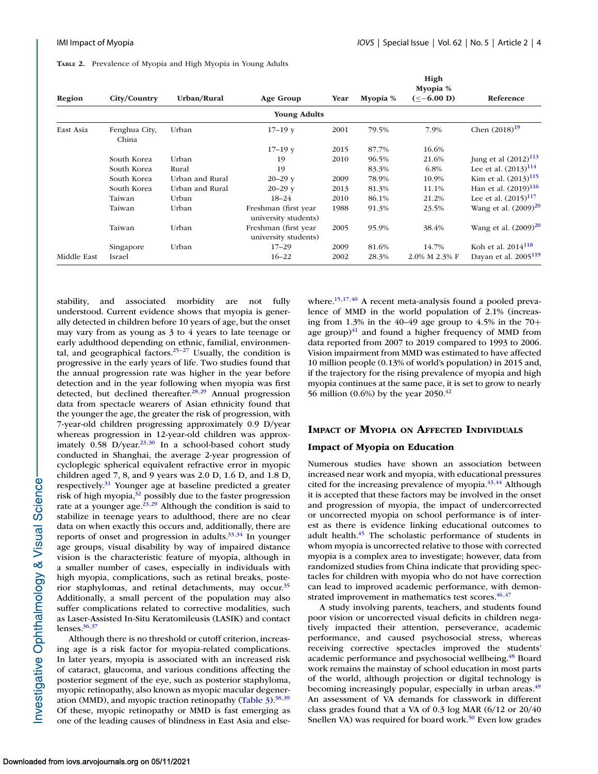<span id="page-3-0"></span>**TABLE 2.** Prevalence of Myopia and High Myopia in Young Adults

| Region      | City/Country           | Urban/Rural     | Age Group                                    | Year | Myopia % | High<br>Myopia %<br>$(< -6.00 D)$ | Reference                        |
|-------------|------------------------|-----------------|----------------------------------------------|------|----------|-----------------------------------|----------------------------------|
|             |                        |                 | <b>Young Adults</b>                          |      |          |                                   |                                  |
| East Asia   | Fenghua City,<br>China | Urban           | $17 - 19y$                                   | 2001 | 79.5%    | 7.9%                              | Chen $(2018)^{19}$               |
|             |                        |                 | $17-19y$                                     | 2015 | 87.7%    | 16.6%                             |                                  |
|             | South Korea            | Urban           | 19                                           | 2010 | 96.5%    | 21.6%                             | Jung et al $(2012)^{113}$        |
|             | South Korea            | Rural           | 19                                           |      | 83.3%    | 6.8%                              | Lee et al. $(2013)^{114}$        |
|             | South Korea            | Urban and Rural | $20 - 29y$                                   | 2009 | 78.9%    | 10.9%                             | Kim et al. $(2013)^{115}$        |
|             | South Korea            | Urban and Rural | $20 - 29y$                                   | 2013 | 81.3%    | 11.1%                             | Han et al. $(2019)^{116}$        |
|             | Taiwan                 | Urban           | $18 - 24$                                    | 2010 | 86.1%    | 21.2%                             | Lee et al. $(2015)^{117}$        |
|             | Taiwan                 | Urban           | Freshman (first year<br>university students) | 1988 | 91.3%    | 23.5%                             | Wang et al. $(2009)^{20}$        |
|             | Taiwan                 | Urban           | Freshman (first year<br>university students) | 2005 | 95.9%    | 38.4%                             | Wang et al. $(2009)^{20}$        |
|             | Singapore              | Urban           | $17 - 29$                                    | 2009 | 81.6%    | 14.7%                             | Koh et al. 2014 <sup>118</sup>   |
| Middle East | Israel                 |                 | $16 - 22$                                    | 2002 | 28.3%    | 2.0% M 2.3% F                     | Dayan et al. 2005 <sup>119</sup> |

stability, and associated morbidity are not fully understood. Current evidence shows that myopia is generally detected in children before 10 years of age, but the onset may vary from as young as 3 to 4 years to late teenage or early adulthood depending on ethnic, familial, environmental, and geographical factors. $25-27$  Usually, the condition is progressive in the early years of life. Two studies found that the annual progression rate was higher in the year before detection and in the year following when myopia was first detected, but declined thereafter.<sup>28,29</sup> Annual progression data from spectacle wearers of Asian ethnicity found that the younger the age, the greater the risk of progression, with 7-year-old children progressing approximately 0.9 D/year whereas progression in 12-year-old children was approximately  $0.58$  D/year.<sup>23,30</sup> In a school-based cohort study conducted in Shanghai, the average 2-year progression of cycloplegic spherical equivalent refractive error in myopic children aged 7, 8, and 9 years was 2.0 D, 1.6 D, and 1.8 D, respectively[.31](#page-10-0) Younger age at baseline predicted a greater risk of high myopia, $3^2$  possibly due to the faster progression rate at a younger age. $^{23,29}$  Although the condition is said to stabilize in teenage years to adulthood, there are no clear data on when exactly this occurs and, additionally, there are reports of onset and progression in adults. $33,34$  In younger age groups, visual disability by way of impaired distance vision is the characteristic feature of myopia, although in a smaller number of cases, especially in individuals with high myopia, complications, such as retinal breaks, posterior staphylomas, and retinal detachments, may occur.<sup>35</sup> Additionally, a small percent of the population may also suffer complications related to corrective modalities, such as Laser-Assisted In-Situ Keratomileusis (LASIK) and contact lenses. $36,37$ 

Although there is no threshold or cutoff criterion, increasing age is a risk factor for myopia-related complications. In later years, myopia is associated with an increased risk of cataract, glaucoma, and various conditions affecting the posterior segment of the eye, such as posterior staphyloma, myopic retinopathy, also known as myopic macular degeneration (MMD), and myopic traction retinopathy (Table  $3$ ).<sup>38,39</sup> Of these, myopic retinopathy or MMD is fast emerging as one of the leading causes of blindness in East Asia and elsewhere.<sup>15,17,40</sup> A recent meta-analysis found a pooled prevalence of MMD in the world population of 2.1% (increasing from 1.3% in the 40–49 age group to 4.5% in the 70+ age group) $41$  and found a higher frequency of MMD from data reported from 2007 to 2019 compared to 1993 to 2006. Vision impairment from MMD was estimated to have affected 10 million people (0.13% of world's population) in 2015 and, if the trajectory for the rising prevalence of myopia and high myopia continues at the same pace, it is set to grow to nearly 56 million (0.6%) by the year 2050.<sup>42</sup>

#### **IMPACT OF MYOPIA ON AFFECTED INDIVIDUALS**

### **Impact of Myopia on Education**

Numerous studies have shown an association between increased near work and myopia, with educational pressures cited for the increasing prevalence of myopia. $43,44$  Although it is accepted that these factors may be involved in the onset and progression of myopia, the impact of undercorrected or uncorrected myopia on school performance is of interest as there is evidence linking educational outcomes to adult health[.45](#page-10-0) The scholastic performance of students in whom myopia is uncorrected relative to those with corrected myopia is a complex area to investigate; however, data from randomized studies from China indicate that providing spectacles for children with myopia who do not have correction can lead to improved academic performance, with demonstrated improvement in mathematics test scores.<sup>46,47</sup>

A study involving parents, teachers, and students found poor vision or uncorrected visual deficits in children negatively impacted their attention, perseverance, academic performance, and caused psychosocial stress, whereas receiving corrective spectacles improved the students' academic performance and psychosocial wellbeing.<sup>48</sup> Board work remains the mainstay of school education in most parts of the world, although projection or digital technology is becoming increasingly popular, especially in urban areas.<sup>49</sup> An assessment of VA demands for classwork in different class grades found that a VA of 0.3 log MAR (6/12 or 20/40 Snellen VA) was required for board work.<sup>50</sup> Even low grades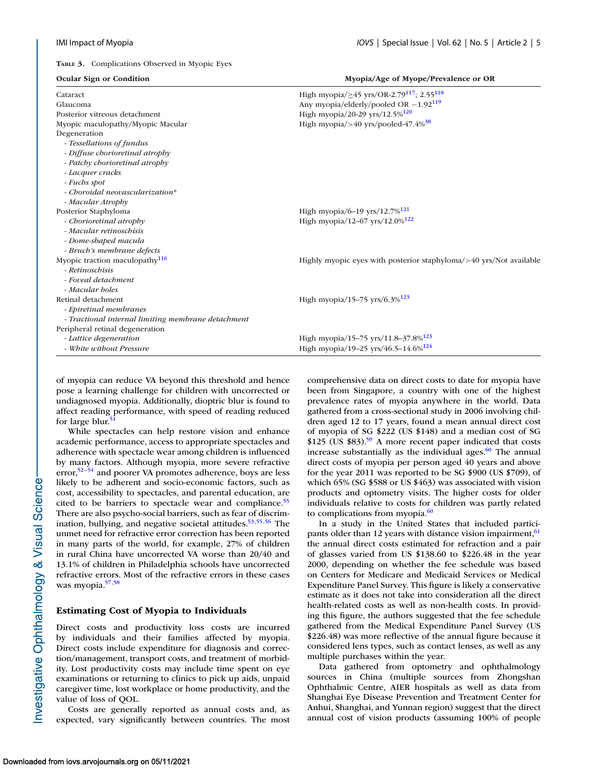<span id="page-4-0"></span>**TABLE 3.** Complications Observed in Myopic Eyes

| Ocular Sign or Condition                           | Myopia/Age of Myope/Prevalence or OR                                    |  |  |  |  |
|----------------------------------------------------|-------------------------------------------------------------------------|--|--|--|--|
| Cataract                                           | High myopia/ $\geq$ 45 yrs/OR-2.79 <sup>117</sup> ; 2.55 <sup>118</sup> |  |  |  |  |
| Glaucoma                                           | Any myopia/elderly/pooled OR $-1.92^{119}$                              |  |  |  |  |
| Posterior vitreous detachment                      | High myopia/20-29 yrs/12.5% <sup>120</sup>                              |  |  |  |  |
| Myopic maculopathy/Myopic Macular                  | High myopia/>40 yrs/pooled-47.4% $38$                                   |  |  |  |  |
| Degeneration                                       |                                                                         |  |  |  |  |
| - Tessellations of fundus                          |                                                                         |  |  |  |  |
| - Diffuse chorioretinal atrophy                    |                                                                         |  |  |  |  |
| - Patchy chorioretinal atrophy                     |                                                                         |  |  |  |  |
| - Lacquer cracks                                   |                                                                         |  |  |  |  |
| - Fuchs spot                                       |                                                                         |  |  |  |  |
| - Choroidal neovascularization*                    |                                                                         |  |  |  |  |
| - Macular Atrophy                                  |                                                                         |  |  |  |  |
| Posterior Staphyloma                               | High myopia/6-19 yrs/12.7% <sup>121</sup>                               |  |  |  |  |
| - Chorioretinal atrophy                            | High myopia/12-67 yrs/12.0% <sup>122</sup>                              |  |  |  |  |
| - Macular retinoschisis                            |                                                                         |  |  |  |  |
| - Dome-shaped macula                               |                                                                         |  |  |  |  |
| - Bruch's membrane defects                         |                                                                         |  |  |  |  |
| Myopic traction maculopathy <sup>116</sup>         | Highly myopic eyes with posterior staphyloma/>40 yrs/Not available      |  |  |  |  |
| - Retinoschisis                                    |                                                                         |  |  |  |  |
| - Foveal detachment                                |                                                                         |  |  |  |  |
| - Macular holes                                    |                                                                         |  |  |  |  |
| Retinal detachment                                 | High myopia/15–75 yrs/6.3% <sup>123</sup>                               |  |  |  |  |
| - Epiretinal membranes                             |                                                                         |  |  |  |  |
| - Tractional internal limiting membrane detachment |                                                                         |  |  |  |  |
| Peripheral retinal degeneration                    |                                                                         |  |  |  |  |
| - Lattice degeneration                             | High myopia/15-75 yrs/11.8-37.8% <sup>123</sup>                         |  |  |  |  |
| - White without Pressure                           | High myopia/19-25 yrs/46.5-14.6% <sup>124</sup>                         |  |  |  |  |

of myopia can reduce VA beyond this threshold and hence pose a learning challenge for children with uncorrected or undiagnosed myopia. Additionally, dioptric blur is found to affect reading performance, with speed of reading reduced for large blur.<sup>5</sup>

While spectacles can help restore vision and enhance academic performance, access to appropriate spectacles and adherence with spectacle wear among children is influenced by many factors. Although myopia, more severe refractive error, $52-54$  and poorer VA promotes adherence, boys are less likely to be adherent and socio-economic factors, such as cost, accessibility to spectacles, and parental education, are cited to be barriers to spectacle wear and compliance.<sup>55</sup> There are also psycho-social barriers, such as fear of discrimination, bullying, and negative societal attitudes. $53,55,56$  The unmet need for refractive error correction has been reported in many parts of the world, for example, 27% of children in rural China have uncorrected VA worse than 20/40 and 13.1% of children in Philadelphia schools have uncorrected refractive errors. Most of the refractive errors in these cases was myopia.<sup>57,58</sup>

#### **Estimating Cost of Myopia to Individuals**

Direct costs and productivity loss costs are incurred by individuals and their families affected by myopia. Direct costs include expenditure for diagnosis and correction/management, transport costs, and treatment of morbidity. Lost productivity costs may include time spent on eye examinations or returning to clinics to pick up aids, unpaid caregiver time, lost workplace or home productivity, and the value of loss of QOL.

Costs are generally reported as annual costs and, as expected, vary significantly between countries. The most comprehensive data on direct costs to date for myopia have been from Singapore, a country with one of the highest prevalence rates of myopia anywhere in the world. Data gathered from a cross-sectional study in 2006 involving children aged 12 to 17 years, found a mean annual direct cost of myopia of SG \$222 (US \$148) and a median cost of SG \$125 (US \$83)[.59](#page-11-0) A more recent paper indicated that costs increase substantially as the individual ages. $60$  The annual direct costs of myopia per person aged 40 years and above for the year 2011 was reported to be SG \$900 (US \$709), of which 65% (SG \$588 or US \$463) was associated with vision products and optometry visits. The higher costs for older individuals relative to costs for children was partly related to complications from myopia. $60$ 

In a study in the United States that included participants older than 12 years with distance vision impairment,  $61$ the annual direct costs estimated for refraction and a pair of glasses varied from US \$138.60 to \$226.48 in the year 2000, depending on whether the fee schedule was based on Centers for Medicare and Medicaid Services or Medical Expenditure Panel Survey. This figure is likely a conservative estimate as it does not take into consideration all the direct health-related costs as well as non-health costs. In providing this figure, the authors suggested that the fee schedule gathered from the Medical Expenditure Panel Survey (US \$226.48) was more reflective of the annual figure because it considered lens types, such as contact lenses, as well as any multiple purchases within the year.

Data gathered from optometry and ophthalmology sources in China (multiple sources from Zhongshan Ophthalmic Centre, AIER hospitals as well as data from Shanghai Eye Disease Prevention and Treatment Center for Anhui, Shanghai, and Yunnan region) suggest that the direct annual cost of vision products (assuming 100% of people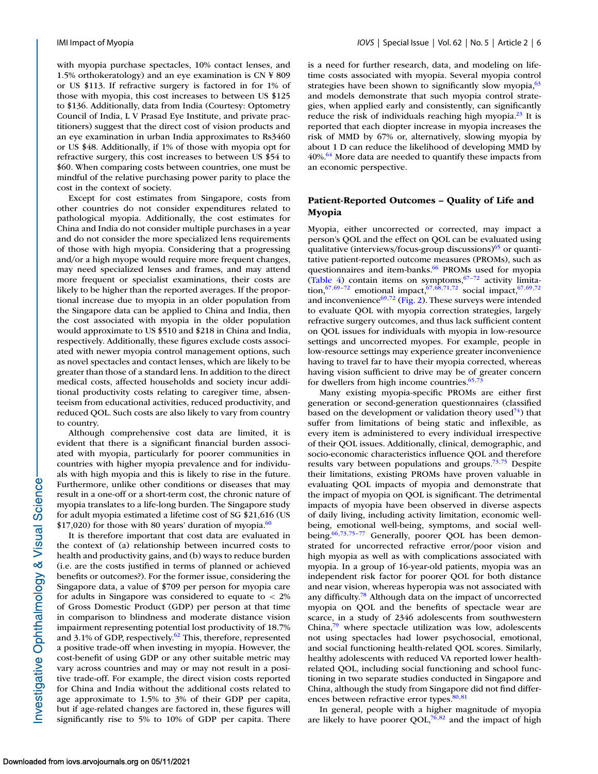with myopia purchase spectacles, 10% contact lenses, and 1.5% orthokeratology) and an eye examination is CN ¥ 809 or US \$113. If refractive surgery is factored in for 1% of those with myopia, this cost increases to between US \$125 to \$136. Additionally, data from India (Courtesy: Optometry Council of India, L V Prasad Eye Institute, and private practitioners) suggest that the direct cost of vision products and an eye examination in urban India approximates to Rs3460 or US \$48. Additionally, if 1% of those with myopia opt for refractive surgery, this cost increases to between US \$54 to \$60. When comparing costs between countries, one must be mindful of the relative purchasing power parity to place the cost in the context of society.

Except for cost estimates from Singapore, costs from other countries do not consider expenditures related to pathological myopia. Additionally, the cost estimates for China and India do not consider multiple purchases in a year and do not consider the more specialized lens requirements of those with high myopia. Considering that a progressing and/or a high myope would require more frequent changes, may need specialized lenses and frames, and may attend more frequent or specialist examinations, their costs are likely to be higher than the reported averages. If the proportional increase due to myopia in an older population from the Singapore data can be applied to China and India, then the cost associated with myopia in the older population would approximate to US \$510 and \$218 in China and India, respectively. Additionally, these figures exclude costs associated with newer myopia control management options, such as novel spectacles and contact lenses, which are likely to be greater than those of a standard lens. In addition to the direct medical costs, affected households and society incur additional productivity costs relating to caregiver time, absenteeism from educational activities, reduced productivity, and reduced QOL. Such costs are also likely to vary from country to country.

Although comprehensive cost data are limited, it is evident that there is a significant financial burden associated with myopia, particularly for poorer communities in countries with higher myopia prevalence and for individuals with high myopia and this is likely to rise in the future. Furthermore, unlike other conditions or diseases that may result in a one-off or a short-term cost, the chronic nature of myopia translates to a life-long burden. The Singapore study for adult myopia estimated a lifetime cost of SG \$21,616 (US  $$17,020$ ) for those with 80 years' duration of myopia.<sup>60</sup>

It is therefore important that cost data are evaluated in the context of (a) relationship between incurred costs to health and productivity gains, and (b) ways to reduce burden (i.e. are the costs justified in terms of planned or achieved benefits or outcomes?). For the former issue, considering the Singapore data, a value of \$709 per person for myopia care for adults in Singapore was considered to equate to < 2% of Gross Domestic Product (GDP) per person at that time in comparison to blindness and moderate distance vision impairment representing potential lost productivity of 18.7% and 3.1% of GDP, respectively. $62$  This, therefore, represented a positive trade-off when investing in myopia. However, the cost-benefit of using GDP or any other suitable metric may vary across countries and may or may not result in a positive trade-off. For example, the direct vision costs reported for China and India without the additional costs related to age approximate to 1.5% to 3% of their GDP per capita, but if age-related changes are factored in, these figures will significantly rise to 5% to 10% of GDP per capita. There

is a need for further research, data, and modeling on lifetime costs associated with myopia. Several myopia control strategies have been shown to significantly slow myopia, $63$ and models demonstrate that such myopia control strategies, when applied early and consistently, can significantly reduce the risk of individuals reaching high myopia. $^{23}$  It is reported that each diopter increase in myopia increases the risk of MMD by 67% or, alternatively, slowing myopia by about 1 D can reduce the likelihood of developing MMD by  $40\%$ <sup>64</sup> More data are needed to quantify these impacts from an economic perspective.

# **Patient-Reported Outcomes – Quality of Life and Myopia**

Myopia, either uncorrected or corrected, may impact a person's QOL and the effect on QOL can be evaluated using qualitative (interviews/focus-group discussions) $65$  or quantitative patient-reported outcome measures (PROMs), such as questionnaires and item-banks.<sup>66</sup> PROMs used for myopia [\(Table 4\)](#page-6-0) contain items on symptoms, $67-72$  activity limitation,<sup>67,69-72</sup> emotional impact,<sup>67,68,71,72</sup> social impact,<sup>67,69,72</sup> and inconvenience $^{69,72}$  $^{69,72}$  $^{69,72}$  [\(Fig. 2\)](#page-6-0). These surveys were intended to evaluate QOL with myopia correction strategies, largely refractive surgery outcomes, and thus lack sufficient content on QOL issues for individuals with myopia in low-resource settings and uncorrected myopes. For example, people in low-resource settings may experience greater inconvenience having to travel far to have their myopia corrected, whereas having vision sufficient to drive may be of greater concern for dwellers from high income countries. $65$ ,

Many existing myopia-specific PROMs are either first generation or second-generation questionnaires (classified based on the development or validation theory used<sup>74</sup>) that suffer from limitations of being static and inflexible, as every item is administered to every individual irrespective of their QOL issues. Additionally, clinical, demographic, and socio-economic characteristics influence QOL and therefore results vary between populations and groups.<sup>73,75</sup> Despite their limitations, existing PROMs have proven valuable in evaluating QOL impacts of myopia and demonstrate that the impact of myopia on QOL is significant. The detrimental impacts of myopia have been observed in diverse aspects of daily living, including activity limitation, economic wellbeing, emotional well-being, symptoms, and social wellbeing.<sup>66,73,75-77</sup> Generally, poorer QOL has been demonstrated for uncorrected refractive error/poor vision and high myopia as well as with complications associated with myopia. In a group of 16-year-old patients, myopia was an independent risk factor for poorer QOL for both distance and near vision, whereas hyperopia was not associated with any difficulty[.78](#page-11-0) Although data on the impact of uncorrected myopia on QOL and the benefits of spectacle wear are scarce, in a study of 2346 adolescents from southwestern China[,79](#page-11-0) where spectacle utilization was low, adolescents not using spectacles had lower psychosocial, emotional, and social functioning health-related QOL scores. Similarly, healthy adolescents with reduced VA reported lower healthrelated QOL, including social functioning and school functioning in two separate studies conducted in Singapore and China, although the study from Singapore did not find differences between refractive error types. $80,81$ 

In general, people with a higher magnitude of myopia are likely to have poorer QOL, $76,82$  and the impact of high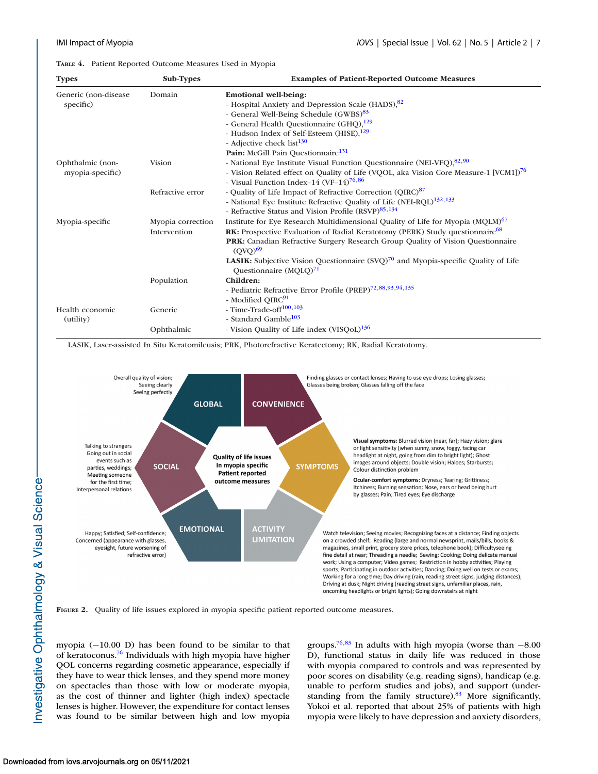<span id="page-6-0"></span>**TABLE 4.** Patient Reported Outcome Measures Used in Myopia

| <b>Types</b>          | Sub-Types         | <b>Examples of Patient-Reported Outcome Measures</b>                                                   |
|-----------------------|-------------------|--------------------------------------------------------------------------------------------------------|
| Generic (non-disease) | Domain            | <b>Emotional well-being:</b>                                                                           |
| specific)             |                   | - Hospital Anxiety and Depression Scale (HADS), 82                                                     |
|                       |                   | - General Well-Being Schedule (GWBS) <sup>83</sup>                                                     |
|                       |                   | - General Health Questionnaire (GHQ), <sup>129</sup>                                                   |
|                       |                   | - Hudson Index of Self-Esteem (HISE), <sup>129</sup>                                                   |
|                       |                   | - Adjective check list <sup>130</sup>                                                                  |
|                       |                   | Pain: McGill Pain Questionnaire <sup>131</sup>                                                         |
| Ophthalmic (non-      | <b>Vision</b>     | - National Eye Institute Visual Function Questionnaire (NEI-VFQ), 82,90                                |
| myopia-specific)      |                   | - Vision Related effect on Quality of Life (VQOL, aka Vision Core Measure-1 [VCM1]) <sup>76</sup>      |
|                       |                   | - Visual Function Index-14 (VF-14) <sup>76,86</sup>                                                    |
|                       | Refractive error  | - Quality of Life Impact of Refractive Correction (QIRC) <sup>87</sup>                                 |
|                       |                   | - National Eye Institute Refractive Quality of Life (NEI-RQL) <sup>132,133</sup>                       |
|                       |                   | - Refractive Status and Vision Profile (RSVP) <sup>85,134</sup>                                        |
| Myopia-specific       | Myopia correction | Institute for Eye Research Multidimensional Quality of Life for Myopia (MQLM) <sup>67</sup>            |
|                       | Intervention      | <b>RK:</b> Prospective Evaluation of Radial Keratotomy (PERK) Study questionnaire <sup>68</sup>        |
|                       |                   | PRK: Canadian Refractive Surgery Research Group Quality of Vision Questionnaire<br>(OVO) <sup>69</sup> |
|                       |                   | <b>LASIK:</b> Subjective Vision Questionnaire $(SVQ)^{70}$ and Myopia-specific Quality of Life         |
|                       |                   | Questionnaire $(MQLQ)^{71}$                                                                            |
|                       | Population        | Children:                                                                                              |
|                       |                   | - Pediatric Refractive Error Profile (PREP) <sup>72,88,93,94,135</sup>                                 |
|                       |                   | - Modified QIRC <sup>91</sup>                                                                          |
| Health economic       | Generic           | - Time-Trade-off <sup>100,103</sup>                                                                    |
| (utility)             |                   | - Standard Gamble <sup>103</sup>                                                                       |
|                       | Ophthalmic        | - Vision Quality of Life index (VISQoL) <sup>136</sup>                                                 |

LASIK, Laser-assisted In Situ Keratomileusis; PRK, Photorefractive Keratectomy; RK, Radial Keratotomy.



**FIGURE 2.** Quality of life issues explored in myopia specific patient reported outcome measures.

myopia (−10.00 D) has been found to be similar to that of keratoconus[.76](#page-11-0) Individuals with high myopia have higher QOL concerns regarding cosmetic appearance, especially if they have to wear thick lenses, and they spend more money on spectacles than those with low or moderate myopia, as the cost of thinner and lighter (high index) spectacle lenses is higher. However, the expenditure for contact lenses was found to be similar between high and low myopia groups.<sup>76,83</sup> In adults with high myopia (worse than  $-8.00$ D), functional status in daily life was reduced in those with myopia compared to controls and was represented by poor scores on disability (e.g. reading signs), handicap (e.g. unable to perform studies and jobs), and support (understanding from the family structure).<sup>83</sup> More significantly, Yokoi et al. reported that about 25% of patients with high myopia were likely to have depression and anxiety disorders,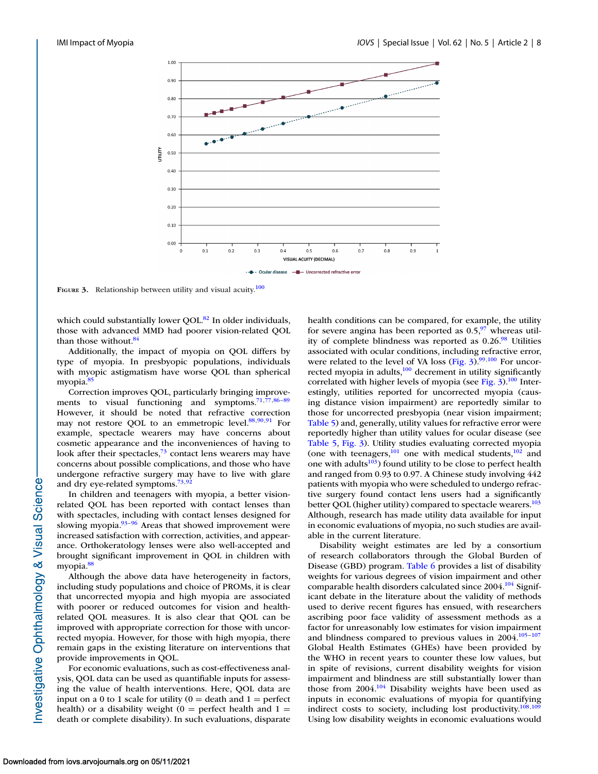

**FIGURE 3.** Relationship between utility and visual acuity.<sup>100</sup>

which could substantially lower OOL.<sup>82</sup> In older individuals, those with advanced MMD had poorer vision-related QOL than those without.<sup>84</sup>

Additionally, the impact of myopia on QOL differs by type of myopia. In presbyopic populations, individuals with myopic astigmatism have worse QOL than spherical myopia.<sup>85</sup>

Correction improves QOL, particularly bringing improve-ments to visual functioning and symptoms.<sup>71,77,86-[89](#page-12-0)</sup> However, it should be noted that refractive correction may not restore QOL to an emmetropic level. $88,90,91$  $88,90,91$  For example, spectacle wearers may have concerns about cosmetic appearance and the inconveniences of having to look after their spectacles, $73$  contact lens wearers may have concerns about possible complications, and those who have undergone refractive surgery may have to live with glare and dry eye-related symptoms.<sup>73,[92](#page-12-0)</sup>

In children and teenagers with myopia, a better visionrelated QOL has been reported with contact lenses than with spectacles, including with contact lenses designed for slowing myopia. $93-96$  Areas that showed improvement were increased satisfaction with correction, activities, and appearance. Orthokeratology lenses were also well-accepted and brought significant improvement in QOL in children with myopia[.88](#page-11-0)

Although the above data have heterogeneity in factors, including study populations and choice of PROMs, it is clear that uncorrected myopia and high myopia are associated with poorer or reduced outcomes for vision and healthrelated QOL measures. It is also clear that QOL can be improved with appropriate correction for those with uncorrected myopia. However, for those with high myopia, there remain gaps in the existing literature on interventions that provide improvements in QOL.

For economic evaluations, such as cost-effectiveness analysis, QOL data can be used as quantifiable inputs for assessing the value of health interventions. Here, QOL data are input on a 0 to 1 scale for utility ( $0 =$  death and  $1 =$  perfect health) or a disability weight ( $0 =$  perfect health and  $1 =$ death or complete disability). In such evaluations, disparate health conditions can be compared, for example, the utility for severe angina has been reported as  $0.5<sup>97</sup>$  whereas utility of complete blindness was reported as  $0.26<sup>98</sup>$  Utilities associated with ocular conditions, including refractive error, were related to the level of VA loss (Fig.  $3$ ).<sup>99,100</sup> For uncorrected myopia in adults,<sup>100</sup> decrement in utility significantly correlated with higher levels of myopia (see Fig.  $3$ ).<sup>100</sup> Interestingly, utilities reported for uncorrected myopia (causing distance vision impairment) are reportedly similar to those for uncorrected presbyopia (near vision impairment; [Table 5\)](#page-8-0) and, generally, utility values for refractive error were reportedly higher than utility values for ocular disease (see [Table 5,](#page-8-0) Fig. 3). Utility studies evaluating corrected myopia (one with teenagers, $^{101}$  one with medical students, $^{102}$  and one with adults $103$ ) found utility to be close to perfect health and ranged from 0.93 to 0.97. A Chinese study involving 442 patients with myopia who were scheduled to undergo refractive surgery found contact lens users had a significantly better QOL (higher utility) compared to spectacle wearers.<sup>103</sup> Although, research has made utility data available for input in economic evaluations of myopia, no such studies are available in the current literature.

Disability weight estimates are led by a consortium of research collaborators through the Global Burden of Disease (GBD) program. [Table 6](#page-8-0) provides a list of disability weights for various degrees of vision impairment and other comparable health disorders calculated since 2004.<sup>104</sup> Significant debate in the literature about the validity of methods used to derive recent figures has ensued, with researchers ascribing poor face validity of assessment methods as a factor for unreasonably low estimates for vision impairment and blindness compared to previous values in  $2004$ .<sup>105–107</sup> Global Health Estimates (GHEs) have been provided by the WHO in recent years to counter these low values, but in spite of revisions, current disability weights for vision impairment and blindness are still substantially lower than those from  $2004$ .<sup>104</sup> Disability weights have been used as inputs in economic evaluations of myopia for quantifying indirect costs to society, including lost productivity. $108,109$ Using low disability weights in economic evaluations would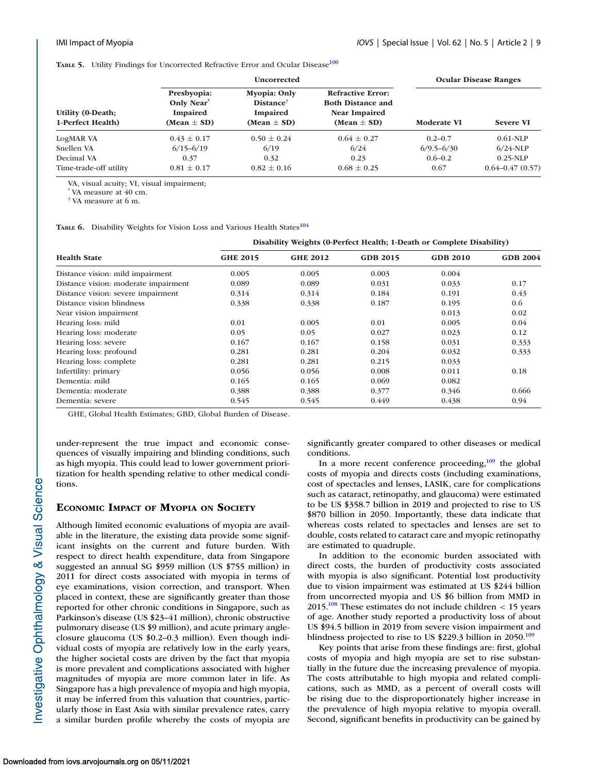<span id="page-8-0"></span>**TABLE 5.** Utility Findings for Uncorrected Refractive Error and Ocular Disease<sup>[100](#page-12-0)</sup>

|                                               |                                                         | <b>Uncorrected</b>                                                                 | <b>Ocular Disease Ranges</b>                                                                    |                    |                     |
|-----------------------------------------------|---------------------------------------------------------|------------------------------------------------------------------------------------|-------------------------------------------------------------------------------------------------|--------------------|---------------------|
| <b>Utility (0-Death;</b><br>1-Perfect Health) | Presbyopia:<br>Only Near<br>Impaired<br>(Mean $\pm$ SD) | <b>Myopia: Only</b><br><b>Distance</b> <sup>†</sup><br>Impaired<br>(Mean $\pm$ SD) | <b>Refractive Error:</b><br><b>Both Distance and</b><br><b>Near Impaired</b><br>(Mean $\pm$ SD) | <b>Moderate VI</b> | <b>Severe VI</b>    |
| LogMAR VA                                     | $0.43 \pm 0.17$                                         | $0.50 \pm 0.24$                                                                    | $0.64 \pm 0.27$                                                                                 | $0.2 - 0.7$        | $0.61-NLP$          |
| Snellen VA                                    | $6/15 - 6/19$                                           | 6/19                                                                               | 6/24                                                                                            | $6/9.5 - 6/30$     | $6/24$ -NLP         |
| Decimal VA                                    | 0.37                                                    | 0.32                                                                               | 0.23                                                                                            | $0.6 - 0.2$        | $0.25-NLP$          |
| Time-trade-off utility                        | $0.81 \pm 0.17$                                         | $0.82 \pm 0.16$                                                                    | $0.68 \pm 0.25$                                                                                 | 0.67               | $0.64 - 0.47(0.57)$ |

VA, visual acuity; VI, visual impairment;

VA measure at 40 cm.

† VA measure at 6 m.

TABLE 6. Disability Weights for Vision Loss and Various Health States<sup>104</sup>

#### **Disability Weights (0-Perfect Health; 1-Death or Complete Disability)**

| <b>Health State</b>                  | <b>GHE 2015</b> | <b>GHE 2012</b> | <b>GDB 2015</b> | <b>GDB 2010</b> | <b>GDB 2004</b> |  |  |  |  |
|--------------------------------------|-----------------|-----------------|-----------------|-----------------|-----------------|--|--|--|--|
| Distance vision: mild impairment     | 0.005           | 0.005           | 0.003           | 0.004           |                 |  |  |  |  |
| Distance vision: moderate impairment | 0.089           | 0.089           | 0.031           | 0.033           | 0.17            |  |  |  |  |
| Distance vision: severe impairment   | 0.314           | 0.314           | 0.184           | 0.191           | 0.43            |  |  |  |  |
| Distance vision blindness            | 0.338           | 0.338           | 0.187           | 0.195           | 0.6             |  |  |  |  |
| Near vision impairment               |                 |                 |                 | 0.013           | 0.02            |  |  |  |  |
| Hearing loss: mild                   | 0.01            | 0.005           | 0.01            | 0.005           | 0.04            |  |  |  |  |
| Hearing loss: moderate               | 0.05            | 0.05            | 0.027           | 0.023           | 0.12            |  |  |  |  |
| Hearing loss: severe                 | 0.167           | 0.167           | 0.158           | 0.031           | 0.333           |  |  |  |  |
| Hearing loss: profound               | 0.281           | 0.281           | 0.204           | 0.032           | 0.333           |  |  |  |  |
| Hearing loss: complete               | 0.281           | 0.281           | 0.215           | 0.033           |                 |  |  |  |  |
| Infertility: primary                 | 0.056           | 0.056           | 0.008           | 0.011           | 0.18            |  |  |  |  |
| Dementia: mild                       | 0.165           | 0.165           | 0.069           | 0.082           |                 |  |  |  |  |
| Dementia: moderate                   | 0.388           | 0.388           | 0.377           | 0.346           | 0.666           |  |  |  |  |
| Dementia: severe                     | 0.545           | 0.545           | 0.449           | 0.438           | 0.94            |  |  |  |  |

GHE, Global Health Estimates; GBD, Global Burden of Disease.

under-represent the true impact and economic consequences of visually impairing and blinding conditions, such as high myopia. This could lead to lower government prioritization for health spending relative to other medical conditions.

# **ECONOMIC IMPACT OF MYOPIA ON SOCIETY**

Although limited economic evaluations of myopia are available in the literature, the existing data provide some significant insights on the current and future burden. With respect to direct health expenditure, data from Singapore suggested an annual SG \$959 million (US \$755 million) in 2011 for direct costs associated with myopia in terms of eye examinations, vision correction, and transport. When placed in context, these are significantly greater than those reported for other chronic conditions in Singapore, such as Parkinson's disease (US \$23–41 million), chronic obstructive pulmonary disease (US \$9 million), and acute primary angleclosure glaucoma (US \$0.2–0.3 million). Even though individual costs of myopia are relatively low in the early years, the higher societal costs are driven by the fact that myopia is more prevalent and complications associated with higher magnitudes of myopia are more common later in life. As Singapore has a high prevalence of myopia and high myopia, it may be inferred from this valuation that countries, particularly those in East Asia with similar prevalence rates, carry a similar burden profile whereby the costs of myopia are significantly greater compared to other diseases or medical conditions.

In a more recent conference proceeding, $109$  the global costs of myopia and directs costs (including examinations, cost of spectacles and lenses, LASIK, care for complications such as cataract, retinopathy, and glaucoma) were estimated to be US \$358.7 billion in 2019 and projected to rise to US \$870 billion in 2050. Importantly, these data indicate that whereas costs related to spectacles and lenses are set to double, costs related to cataract care and myopic retinopathy are estimated to quadruple.

In addition to the economic burden associated with direct costs, the burden of productivity costs associated with myopia is also significant. Potential lost productivity due to vision impairment was estimated at US \$244 billion from uncorrected myopia and US \$6 billion from MMD in 2015.<sup>108</sup> These estimates do not include children  $<$  15 years of age. Another study reported a productivity loss of about US \$94.5 billion in 2019 from severe vision impairment and blindness projected to rise to US  $$229.3$  billion in 2050.<sup>109</sup>

Key points that arise from these findings are: first, global costs of myopia and high myopia are set to rise substantially in the future due the increasing prevalence of myopia. The costs attributable to high myopia and related complications, such as MMD, as a percent of overall costs will be rising due to the disproportionately higher increase in the prevalence of high myopia relative to myopia overall. Second, significant benefits in productivity can be gained by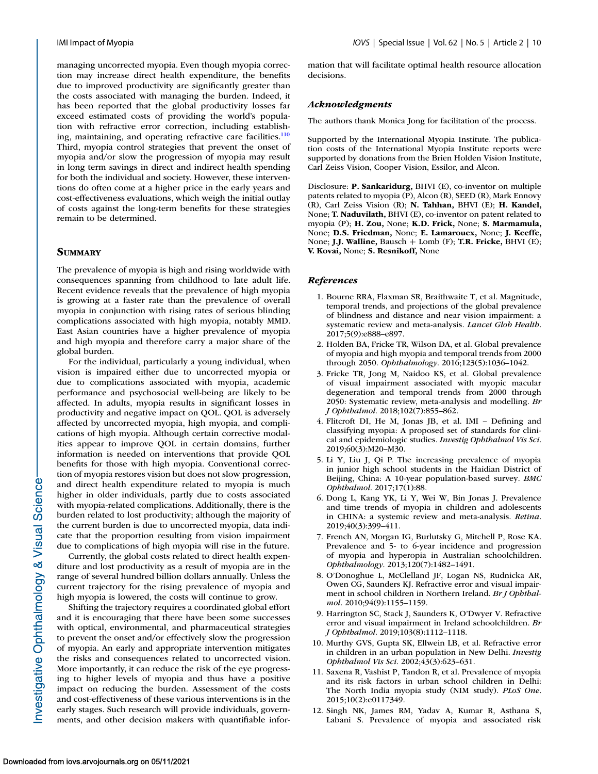<span id="page-9-0"></span>managing uncorrected myopia. Even though myopia correction may increase direct health expenditure, the benefits due to improved productivity are significantly greater than the costs associated with managing the burden. Indeed, it has been reported that the global productivity losses far exceed estimated costs of providing the world's population with refractive error correction, including establishing, maintaining, and operating refractive care facilities. $\frac{110}{10}$ Third, myopia control strategies that prevent the onset of myopia and/or slow the progression of myopia may result in long term savings in direct and indirect health spending for both the individual and society. However, these interventions do often come at a higher price in the early years and cost-effectiveness evaluations, which weigh the initial outlay of costs against the long-term benefits for these strategies remain to be determined.

### **SUMMARY**

The prevalence of myopia is high and rising worldwide with consequences spanning from childhood to late adult life. Recent evidence reveals that the prevalence of high myopia is growing at a faster rate than the prevalence of overall myopia in conjunction with rising rates of serious blinding complications associated with high myopia, notably MMD. East Asian countries have a higher prevalence of myopia and high myopia and therefore carry a major share of the global burden.

For the individual, particularly a young individual, when vision is impaired either due to uncorrected myopia or due to complications associated with myopia, academic performance and psychosocial well-being are likely to be affected. In adults, myopia results in significant losses in productivity and negative impact on QOL. QOL is adversely affected by uncorrected myopia, high myopia, and complications of high myopia. Although certain corrective modalities appear to improve QOL in certain domains, further information is needed on interventions that provide QOL benefits for those with high myopia. Conventional correction of myopia restores vision but does not slow progression, and direct health expenditure related to myopia is much higher in older individuals, partly due to costs associated with myopia-related complications. Additionally, there is the burden related to lost productivity; although the majority of the current burden is due to uncorrected myopia, data indicate that the proportion resulting from vision impairment due to complications of high myopia will rise in the future.

Currently, the global costs related to direct health expenditure and lost productivity as a result of myopia are in the range of several hundred billion dollars annually. Unless the current trajectory for the rising prevalence of myopia and high myopia is lowered, the costs will continue to grow.

Shifting the trajectory requires a coordinated global effort and it is encouraging that there have been some successes with optical, environmental, and pharmaceutical strategies to prevent the onset and/or effectively slow the progression of myopia. An early and appropriate intervention mitigates the risks and consequences related to uncorrected vision. More importantly, it can reduce the risk of the eye progressing to higher levels of myopia and thus have a positive impact on reducing the burden. Assessment of the costs and cost-effectiveness of these various interventions is in the early stages. Such research will provide individuals, governments, and other decision makers with quantifiable information that will facilitate optimal health resource allocation decisions.

#### *Acknowledgments*

The authors thank Monica Jong for facilitation of the process.

Supported by the International Myopia Institute. The publication costs of the International Myopia Institute reports were supported by donations from the Brien Holden Vision Institute, Carl Zeiss Vision, Cooper Vision, Essilor, and Alcon.

Disclosure: **P. Sankaridurg,** BHVI (E), co-inventor on multiple patents related to myopia (P), Alcon (R), SEED (R), Mark Ennovy (R), Carl Zeiss Vision (R); **N. Tahhan,** BHVI (E); **H. Kandel,** None; **T. Naduvilath,** BHVI (E), co-inventor on patent related to myopia (P); **H. Zou,** None; **K.D. Frick,** None; **S. Marmamula,** None; **D.S. Friedman,** None; **E. Lamarouex,** None; **J. Keeffe,** None; **J.J. Walline,** Bausch + Lomb (F); **T.R. Fricke,** BHVI (E); **V. Kovai,** None; **S. Resnikoff,** None

#### *References*

- 1. Bourne RRA, Flaxman SR, Braithwaite T, et al. Magnitude, temporal trends, and projections of the global prevalence of blindness and distance and near vision impairment: a systematic review and meta-analysis. *Lancet Glob Health*. 2017;5(9):e888–e897.
- 2. Holden BA, Fricke TR, Wilson DA, et al. Global prevalence of myopia and high myopia and temporal trends from 2000 through 2050. *Ophthalmology*. 2016;123(5):1036–1042.
- 3. Fricke TR, Jong M, Naidoo KS, et al. Global prevalence of visual impairment associated with myopic macular degeneration and temporal trends from 2000 through 2050: Systematic review, meta-analysis and modelling. *Br J Ophthalmol*. 2018;102(7):855–862.
- 4. Flitcroft DI, He M, Jonas JB, et al. IMI Defining and classifying myopia: A proposed set of standards for clinical and epidemiologic studies. *Investig Ophthalmol Vis Sci*. 2019;60(3):M20–M30.
- 5. Li Y, Liu J, Qi P. The increasing prevalence of myopia in junior high school students in the Haidian District of Beijing, China: A 10-year population-based survey. *BMC Ophthalmol*. 2017;17(1):88.
- 6. Dong L, Kang YK, Li Y, Wei W, Bin Jonas J. Prevalence and time trends of myopia in children and adolescents in CHINA: a systemic review and meta-analysis. *Retina*. 2019;40(3):399–411.
- 7. French AN, Morgan IG, Burlutsky G, Mitchell P, Rose KA. Prevalence and 5- to 6-year incidence and progression of myopia and hyperopia in Australian schoolchildren. *Ophthalmology*. 2013;120(7):1482–1491.
- 8. O'Donoghue L, McClelland JF, Logan NS, Rudnicka AR, Owen CG, Saunders KJ. Refractive error and visual impairment in school children in Northern Ireland. *Br J Ophthalmol*. 2010;94(9):1155–1159.
- 9. Harrington SC, Stack J, Saunders K, O'Dwyer V. Refractive error and visual impairment in Ireland schoolchildren. *Br J Ophthalmol*. 2019;103(8):1112–1118.
- 10. Murthy GVS, Gupta SK, Ellwein LB, et al. Refractive error in children in an urban population in New Delhi. *Investig Ophthalmol Vis Sci*. 2002;43(3):623–631.
- 11. Saxena R, Vashist P, Tandon R, et al. Prevalence of myopia and its risk factors in urban school children in Delhi: The North India myopia study (NIM study). *PLoS One*. 2015;10(2):e0117349.
- 12. Singh NK, James RM, Yadav A, Kumar R, Asthana S, Labani S. Prevalence of myopia and associated risk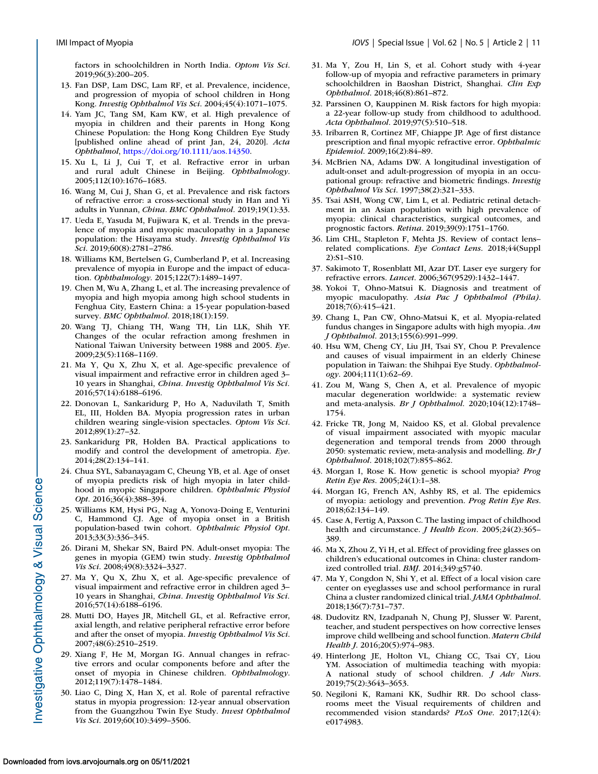<span id="page-10-0"></span>factors in schoolchildren in North India. *Optom Vis Sci*. 2019;96(3):200–205.

- 13. Fan DSP, Lam DSC, Lam RF, et al. Prevalence, incidence, and progression of myopia of school children in Hong Kong. *Investig Ophthalmol Vis Sci*. 2004;45(4):1071–1075.
- 14. Yam JC, Tang SM, Kam KW, et al. High prevalence of myopia in children and their parents in Hong Kong Chinese Population: the Hong Kong Children Eye Study [published online ahead of print Jan, 24, 2020]. *Acta Ophthalmol*, [https://doi.org/10.1111/aos.14350.](https://doi.org/10.1111/aos.14350)
- 15. Xu L, Li J, Cui T, et al. Refractive error in urban and rural adult Chinese in Beijing. *Ophthalmology*. 2005;112(10):1676–1683.
- 16. Wang M, Cui J, Shan G, et al. Prevalence and risk factors of refractive error: a cross-sectional study in Han and Yi adults in Yunnan, *China. BMC Ophthalmol.* 2019;19(1):33.
- 17. Ueda E, Yasuda M, Fujiwara K, et al. Trends in the prevalence of myopia and myopic maculopathy in a Japanese population: the Hisayama study. *Investig Ophthalmol Vis Sci*. 2019;60(8):2781–2786.
- 18. Williams KM, Bertelsen G, Cumberland P, et al. Increasing prevalence of myopia in Europe and the impact of education. *Ophthalmology*. 2015;122(7):1489–1497.
- 19. Chen M, Wu A, Zhang L, et al. The increasing prevalence of myopia and high myopia among high school students in Fenghua City, Eastern China: a 15-year population-based survey. *BMC Ophthalmol*. 2018;18(1):159.
- 20. Wang TJ, Chiang TH, Wang TH, Lin LLK, Shih YF. Changes of the ocular refraction among freshmen in National Taiwan University between 1988 and 2005. *Eye*. 2009;23(5):1168–1169.
- 21. Ma Y, Qu X, Zhu X, et al. Age-specific prevalence of visual impairment and refractive error in children aged 3– 10 years in Shanghai, *China. Investig Ophthalmol Vis Sci.* 2016;57(14):6188–6196.
- 22. Donovan L, Sankaridurg P, Ho A, Naduvilath T, Smith EL, III, Holden BA. Myopia progression rates in urban children wearing single-vision spectacles. *Optom Vis Sci*. 2012;89(1):27–32.
- 23. Sankaridurg PR, Holden BA. Practical applications to modify and control the development of ametropia. *Eye*. 2014;28(2):134–141.
- 24. Chua SYL, Sabanayagam C, Cheung YB, et al. Age of onset of myopia predicts risk of high myopia in later childhood in myopic Singapore children. *Ophthalmic Physiol Opt*. 2016;36(4):388–394.
- 25. Williams KM, Hysi PG, Nag A, Yonova-Doing E, Venturini C, Hammond CJ. Age of myopia onset in a British population-based twin cohort. *Ophthalmic Physiol Opt*. 2013;33(3):336–345.
- 26. Dirani M, Shekar SN, Baird PN. Adult-onset myopia: The genes in myopia (GEM) twin study. *Investig Ophthalmol Vis Sci*. 2008;49(8):3324–3327.
- 27. Ma Y, Qu X, Zhu X, et al. Age-specific prevalence of visual impairment and refractive error in children aged 3– 10 years in Shanghai, *China. Investig Ophthalmol Vis Sci.* 2016;57(14):6188–6196.
- 28. Mutti DO, Hayes JR, Mitchell GL, et al. Refractive error, axial length, and relative peripheral refractive error before and after the onset of myopia. *Investig Ophthalmol Vis Sci*. 2007;48(6):2510–2519.
- 29. Xiang F, He M, Morgan IG. Annual changes in refractive errors and ocular components before and after the onset of myopia in Chinese children. *Ophthalmology*. 2012;119(7):1478–1484.
- 30. Liao C, Ding X, Han X, et al. Role of parental refractive status in myopia progression: 12-year annual observation from the Guangzhou Twin Eye Study. *Invest Ophthalmol Vis Sci*. 2019;60(10):3499–3506.
- 31. Ma Y, Zou H, Lin S, et al. Cohort study with 4-year follow-up of myopia and refractive parameters in primary schoolchildren in Baoshan District, Shanghai. *Clin Exp Ophthalmol*. 2018;46(8):861–872.
- 32. Parssinen O, Kauppinen M. Risk factors for high myopia: a 22-year follow-up study from childhood to adulthood. *Acta Ophthalmol*. 2019;97(5):510–518.
- 33. Iribarren R, Cortinez MF, Chiappe JP. Age of first distance prescription and final myopic refractive error. *Ophthalmic Epidemiol*. 2009;16(2):84–89.
- 34. McBrien NA, Adams DW. A longitudinal investigation of adult-onset and adult-progression of myopia in an occupational group: refractive and biometric findings. *Investig Ophthalmol Vis Sci*. 1997;38(2):321–333.
- 35. Tsai ASH, Wong CW, Lim L, et al. Pediatric retinal detachment in an Asian population with high prevalence of myopia: clinical characteristics, surgical outcomes, and prognostic factors. *Retina*. 2019;39(9):1751–1760.
- 36. Lim CHL, Stapleton F, Mehta JS. Review of contact lens– related complications. *Eye Contact Lens*. 2018;44(Suppl 2):S1–S10.
- 37. Sakimoto T, Rosenblatt MI, Azar DT. Laser eye surgery for refractive errors. *Lancet*. 2006;367(9529):1432–1447.
- 38. Yokoi T, Ohno-Matsui K. Diagnosis and treatment of myopic maculopathy. *Asia Pac J Ophthalmol (Phila)*. 2018;7(6):415–421.
- 39. Chang L, Pan CW, Ohno-Matsui K, et al. Myopia-related fundus changes in Singapore adults with high myopia. *Am J Ophthalmol*. 2013;155(6):991–999.
- 40. Hsu WM, Cheng CY, Liu JH, Tsai SY, Chou P. Prevalence and causes of visual impairment in an elderly Chinese population in Taiwan: the Shihpai Eye Study. *Ophthalmology*. 2004;111(1):62–69.
- 41. Zou M, Wang S, Chen A, et al. Prevalence of myopic macular degeneration worldwide: a systematic review and meta-analysis. *Br J Ophthalmol*. 2020;104(12):1748– 1754.
- 42. Fricke TR, Jong M, Naidoo KS, et al. Global prevalence of visual impairment associated with myopic macular degeneration and temporal trends from 2000 through 2050: systematic review, meta-analysis and modelling. *Br J Ophthalmol*. 2018;102(7):855–862.
- 43. Morgan I, Rose K. How genetic is school myopia? *Prog Retin Eye Res*. 2005;24(1):1–38.
- 44. Morgan IG, French AN, Ashby RS, et al. The epidemics of myopia: aetiology and prevention. *Prog Retin Eye Res*. 2018;62:134–149.
- 45. Case A, Fertig A, Paxson C. The lasting impact of childhood health and circumstance. *J Health Econ*. 2005;24(2):365– 389.
- 46. Ma X, Zhou Z, Yi H, et al. Effect of providing free glasses on children's educational outcomes in China: cluster randomized controlled trial. *BMJ*. 2014;349:g5740.
- 47. Ma Y, Congdon N, Shi Y, et al. Effect of a local vision care center on eyeglasses use and school performance in rural China a cluster randomized clinical trial. *JAMA Ophthalmol*. 2018;136(7):731–737.
- 48. Dudovitz RN, Izadpanah N, Chung PJ, Slusser W. Parent, teacher, and student perspectives on how corrective lenses improve child wellbeing and school function. *Matern Child Health J*. 2016;20(5):974–983.
- 49. Hinterlong JE, Holton VL, Chiang CC, Tsai CY, Liou YM. Association of multimedia teaching with myopia: A national study of school children. *J Adv Nurs*. 2019;75(2):3643–3653.
- 50. Negiloni K, Ramani KK, Sudhir RR. Do school classrooms meet the Visual requirements of children and recommended vision standards? *PLoS One*. 2017;12(4): e0174983.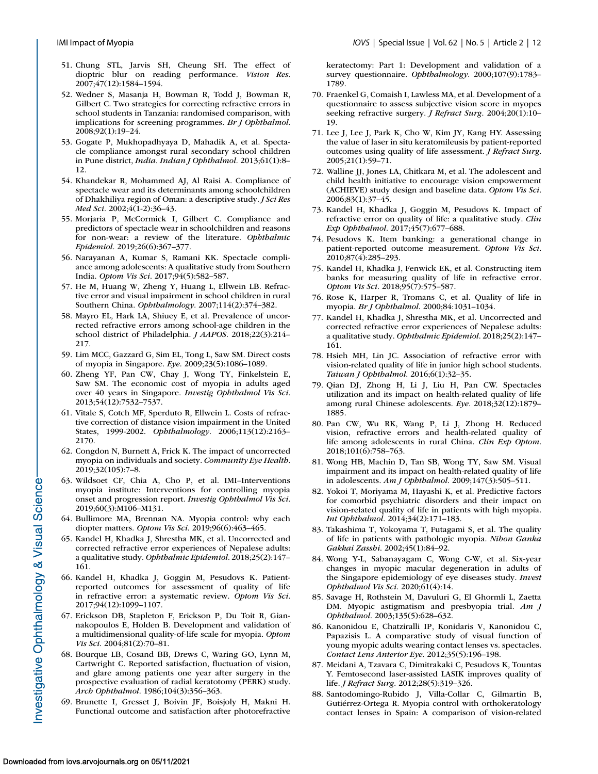- <span id="page-11-0"></span>51. Chung STL, Jarvis SH, Cheung SH. The effect of dioptric blur on reading performance. *Vision Res*. 2007;47(12):1584–1594.
- 52. Wedner S, Masanja H, Bowman R, Todd J, Bowman R, Gilbert C. Two strategies for correcting refractive errors in school students in Tanzania: randomised comparison, with implications for screening programmes. *Br J Ophthalmol*. 2008;92(1):19–24.
- 53. Gogate P, Mukhopadhyaya D, Mahadik A, et al. Spectacle compliance amongst rural secondary school children in Pune district, *India. Indian J Ophthalmol.* 2013;61(1):8– 12.
- 54. Khandekar R, Mohammed AJ, Al Raisi A. Compliance of spectacle wear and its determinants among schoolchildren of Dhakhiliya region of Oman: a descriptive study. *J Sci Res Med Sci*. 2002;4(1-2):36–43.
- 55. Morjaria P, McCormick I, Gilbert C. Compliance and predictors of spectacle wear in schoolchildren and reasons for non-wear: a review of the literature. *Ophthalmic Epidemiol*. 2019;26(6):367–377.
- 56. Narayanan A, Kumar S, Ramani KK. Spectacle compliance among adolescents: A qualitative study from Southern India. *Optom Vis Sci*. 2017;94(5):582–587.
- 57. He M, Huang W, Zheng Y, Huang L, Ellwein LB. Refractive error and visual impairment in school children in rural Southern China. *Ophthalmology*. 2007;114(2):374–382.
- 58. Mayro EL, Hark LA, Shiuey E, et al. Prevalence of uncorrected refractive errors among school-age children in the school district of Philadelphia. *J AAPOS*. 2018;22(3):214– 217.
- 59. Lim MCC, Gazzard G, Sim EL, Tong L, Saw SM. Direct costs of myopia in Singapore. *Eye*. 2009;23(5):1086–1089.
- 60. Zheng YF, Pan CW, Chay J, Wong TY, Finkelstein E, Saw SM. The economic cost of myopia in adults aged over 40 years in Singapore. *Investig Ophthalmol Vis Sci*. 2013;54(12):7532–7537.
- 61. Vitale S, Cotch MF, Sperduto R, Ellwein L. Costs of refractive correction of distance vision impairment in the United States, 1999-2002. *Ophthalmology*. 2006;113(12):2163– 2170.
- 62. Congdon N, Burnett A, Frick K. The impact of uncorrected myopia on individuals and society. *Community Eye Health*. 2019;32(105):7–8.
- 63. Wildsoet CF, Chia A, Cho P, et al. IMI–Interventions myopia institute: Interventions for controlling myopia onset and progression report. *Investig Ophthalmol Vis Sci*. 2019;60(3):M106–M131.
- 64. Bullimore MA, Brennan NA. Myopia control: why each diopter matters. *Optom Vis Sci*. 2019;96(6):463–465.
- 65. Kandel H, Khadka J, Shrestha MK, et al. Uncorrected and corrected refractive error experiences of Nepalese adults: a qualitative study. *Ophthalmic Epidemiol*. 2018;25(2):147– 161.
- 66. Kandel H, Khadka J, Goggin M, Pesudovs K. Patientreported outcomes for assessment of quality of life in refractive error: a systematic review. *Optom Vis Sci*. 2017;94(12):1099–1107.
- 67. Erickson DB, Stapleton F, Erickson P, Du Toit R, Giannakopoulos E, Holden B. Development and validation of a multidimensional quality-of-life scale for myopia. *Optom Vis Sci*. 2004;81(2):70–81.
- 68. Bourque LB, Cosand BB, Drews C, Waring GO, Lynn M, Cartwright C. Reported satisfaction, fluctuation of vision, and glare among patients one year after surgery in the prospective evaluation of radial keratotomy (PERK) study. *Arch Ophthalmol*. 1986;104(3):356–363.
- 69. Brunette I, Gresset J, Boivin JF, Boisjoly H, Makni H. Functional outcome and satisfaction after photorefractive

keratectomy: Part 1: Development and validation of a survey questionnaire. *Ophthalmology*. 2000;107(9):1783– 1789.

- 70. Fraenkel G, Comaish I, Lawless MA, et al. Development of a questionnaire to assess subjective vision score in myopes seeking refractive surgery. *J Refract Surg*. 2004;20(1):10– 19.
- 71. Lee J, Lee J, Park K, Cho W, Kim JY, Kang HY. Assessing the value of laser in situ keratomileusis by patient-reported outcomes using quality of life assessment. *J Refract Surg*. 2005;21(1):59–71.
- 72. Walline JJ, Jones LA, Chitkara M, et al. The adolescent and child health initiative to encourage vision empowerment (ACHIEVE) study design and baseline data. *Optom Vis Sci*. 2006;83(1):37–45.
- 73. Kandel H, Khadka J, Goggin M, Pesudovs K. Impact of refractive error on quality of life: a qualitative study. *Clin Exp Ophthalmol*. 2017;45(7):677–688.
- 74. Pesudovs K. Item banking: a generational change in patient-reported outcome measurement. *Optom Vis Sci*. 2010;87(4):285–293.
- 75. Kandel H, Khadka J, Fenwick EK, et al. Constructing item banks for measuring quality of life in refractive error. *Optom Vis Sci*. 2018;95(7):575–587.
- 76. Rose K, Harper R, Tromans C, et al. Quality of life in myopia. *Br J Ophthalmol*. 2000;84:1031–1034.
- 77. Kandel H, Khadka J, Shrestha MK, et al. Uncorrected and corrected refractive error experiences of Nepalese adults: a qualitative study. *Ophthalmic Epidemiol*. 2018;25(2):147– 161.
- 78. Hsieh MH, Lin JC. Association of refractive error with vision-related quality of life in junior high school students. *Taiwan J Ophthalmol*. 2016;6(1):32–35.
- 79. Qian DJ, Zhong H, Li J, Liu H, Pan CW. Spectacles utilization and its impact on health-related quality of life among rural Chinese adolescents. *Eye*. 2018;32(12):1879– 1885.
- 80. Pan CW, Wu RK, Wang P, Li J, Zhong H. Reduced vision, refractive errors and health-related quality of life among adolescents in rural China. *Clin Exp Optom*. 2018;101(6):758–763.
- 81. Wong HB, Machin D, Tan SB, Wong TY, Saw SM. Visual impairment and its impact on health-related quality of life in adolescents. *Am J Ophthalmol*. 2009;147(3):505–511.
- 82. Yokoi T, Moriyama M, Hayashi K, et al. Predictive factors for comorbid psychiatric disorders and their impact on vision-related quality of life in patients with high myopia. *Int Ophthalmol*. 2014;34(2):171–183.
- 83. Takashima T, Yokoyama T, Futagami S, et al. The quality of life in patients with pathologic myopia. *Nihon Ganka Gakkai Zasshi*. 2002;45(1):84–92.
- 84. Wong Y-L, Sabanayagam C, Wong C-W, et al. Six-year changes in myopic macular degeneration in adults of the Singapore epidemiology of eye diseases study. *Invest Ophthalmol Vis Sci*. 2020;61(4):14.
- 85. Savage H, Rothstein M, Davuluri G, El Ghormli L, Zaetta DM. Myopic astigmatism and presbyopia trial. *Am J Ophthalmol*. 2003;135(5):628–632.
- 86. Kanonidou E, Chatziralli IP, Konidaris V, Kanonidou C, Papazisis L. A comparative study of visual function of young myopic adults wearing contact lenses vs. spectacles. *Contact Lens Anterior Eye*. 2012;35(5):196–198.
- 87. Meidani A, Tzavara C, Dimitrakaki C, Pesudovs K, Tountas Y. Femtosecond laser-assisted LASIK improves quality of life. *J Refract Surg*. 2012;28(5):319–326.
- 88. Santodomingo-Rubido J, Villa-Collar C, Gilmartin B, Gutiérrez-Ortega R. Myopia control with orthokeratology contact lenses in Spain: A comparison of vision-related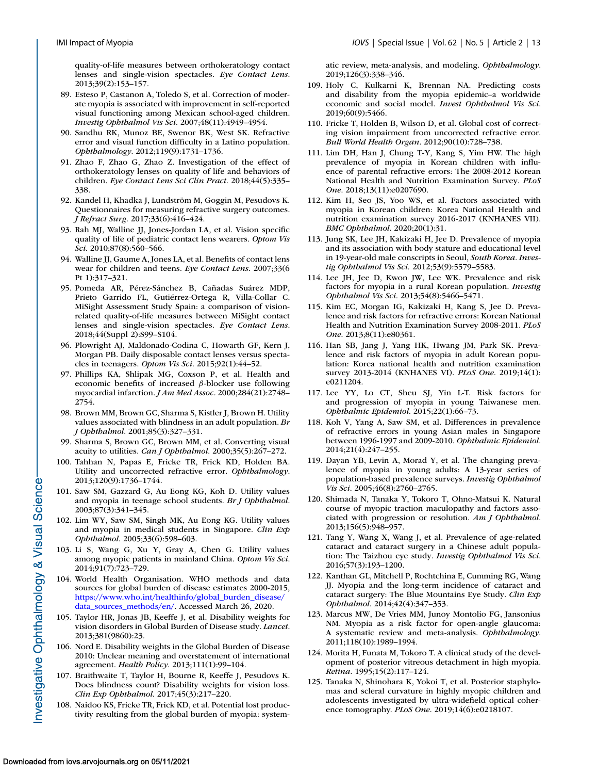<span id="page-12-0"></span>quality-of-life measures between orthokeratology contact lenses and single-vision spectacles. *Eye Contact Lens*. 2013;39(2):153–157.

- 89. Esteso P, Castanon A, Toledo S, et al. Correction of moderate myopia is associated with improvement in self-reported visual functioning among Mexican school-aged children. *Investig Ophthalmol Vis Sci*. 2007;48(11):4949–4954.
- 90. Sandhu RK, Munoz BE, Swenor BK, West SK. Refractive error and visual function difficulty in a Latino population. *Ophthalmology*. 2012;119(9):1731–1736.
- 91. Zhao F, Zhao G, Zhao Z. Investigation of the effect of orthokeratology lenses on quality of life and behaviors of children. *Eye Contact Lens Sci Clin Pract*. 2018;44(5):335– 338.
- 92. Kandel H, Khadka J, Lundström M, Goggin M, Pesudovs K. Questionnaires for measuring refractive surgery outcomes. *J Refract Surg*. 2017;33(6):416–424.
- 93. Rah MJ, Walline JJ, Jones-Jordan LA, et al. Vision specific quality of life of pediatric contact lens wearers. *Optom Vis Sci*. 2010;87(8):560–566.
- 94. Walline JJ, Gaume A, Jones LA, et al. Benefits of contact lens wear for children and teens. *Eye Contact Lens*. 2007;33(6 Pt 1):317–321.
- 95. Pomeda AR, Pérez-Sánchez B, Cañadas Suárez MDP, Prieto Garrido FL, Gutiérrez-Ortega R, Villa-Collar C. MiSight Assessment Study Spain: a comparison of visionrelated quality-of-life measures between MiSight contact lenses and single-vision spectacles. *Eye Contact Lens*. 2018;44(Suppl 2):S99–S104.
- 96. Plowright AJ, Maldonado-Codina C, Howarth GF, Kern J, Morgan PB. Daily disposable contact lenses versus spectacles in teenagers. *Optom Vis Sci*. 2015;92(1):44–52.
- 97. Phillips KA, Shlipak MG, Coxson P, et al. Health and economic benefits of increased β-blocker use following myocardial infarction. *J Am Med Assoc*. 2000;284(21):2748– 2754.
- 98. Brown MM, Brown GC, Sharma S, Kistler J, Brown H. Utility values associated with blindness in an adult population. *Br J Ophthalmol*. 2001;85(3):327–331.
- 99. Sharma S, Brown GC, Brown MM, et al. Converting visual acuity to utilities. *Can J Ophthalmol*. 2000;35(5):267–272.
- 100. Tahhan N, Papas E, Fricke TR, Frick KD, Holden BA. Utility and uncorrected refractive error. *Ophthalmology*. 2013;120(9):1736–1744.
- 101. Saw SM, Gazzard G, Au Eong KG, Koh D. Utility values and myopia in teenage school students. *Br J Ophthalmol*. 2003;87(3):341–345.
- 102. Lim WY, Saw SM, Singh MK, Au Eong KG. Utility values and myopia in medical students in Singapore. *Clin Exp Ophthalmol*. 2005;33(6):598–603.
- 103. Li S, Wang G, Xu Y, Gray A, Chen G. Utility values among myopic patients in mainland China. *Optom Vis Sci*. 2014;91(7):723–729.
- 104. World Health Organisation. WHO methods and data sources for global burden of disease estimates 2000-2015, [https://www.who.int/healthinfo/global\\_burden\\_disease/](https://www.who.int/healthinfo/global10burden10disease/data10sources10methods/en/) data\_sources\_methods/en/. Accessed March 26, 2020.
- 105. Taylor HR, Jonas JB, Keeffe J, et al. Disability weights for vision disorders in Global Burden of Disease study. *Lancet*. 2013;381(9860):23.
- 106. Nord E. Disability weights in the Global Burden of Disease 2010: Unclear meaning and overstatement of international agreement. *Health Policy*. 2013;111(1):99–104.
- 107. Braithwaite T, Taylor H, Bourne R, Keeffe J, Pesudovs K. Does blindness count? Disability weights for vision loss. *Clin Exp Ophthalmol*. 2017;45(3):217–220.
- 108. Naidoo KS, Fricke TR, Frick KD, et al. Potential lost productivity resulting from the global burden of myopia: system-

atic review, meta-analysis, and modeling. *Ophthalmology*. 2019;126(3):338–346.

- 109. Holy C, Kulkarni K, Brennan NA. Predicting costs and disability from the myopia epidemic–a worldwide economic and social model. *Invest Ophthalmol Vis Sci*. 2019;60(9):5466.
- 110. Fricke T, Holden B, Wilson D, et al. Global cost of correcting vision impairment from uncorrected refractive error. *Bull World Health Organ*. 2012;90(10):728–738.
- 111. Lim DH, Han J, Chung T-Y, Kang S, Yim HW. The high prevalence of myopia in Korean children with influence of parental refractive errors: The 2008-2012 Korean National Health and Nutrition Examination Survey. *PLoS One*. 2018;13(11):e0207690.
- 112. Kim H, Seo JS, Yoo WS, et al. Factors associated with myopia in Korean children: Korea National Health and nutrition examination survey 2016-2017 (KNHANES VII). *BMC Ophthalmol*. 2020;20(1):31.
- 113. Jung SK, Lee JH, Kakizaki H, Jee D. Prevalence of myopia and its association with body stature and educational level in 19-year-old male conscripts in Seoul, *South Korea. Investig Ophthalmol Vis Sci.* 2012;53(9):5579–5583.
- 114. Lee JH, Jee D, Kwon JW, Lee WK. Prevalence and risk factors for myopia in a rural Korean population. *Investig Ophthalmol Vis Sci*. 2013;54(8):5466–5471.
- 115. Kim EC, Morgan IG, Kakizaki H, Kang S, Jee D. Prevalence and risk factors for refractive errors: Korean National Health and Nutrition Examination Survey 2008-2011. *PLoS One*. 2013;8(11):e80361.
- 116. Han SB, Jang J, Yang HK, Hwang JM, Park SK. Prevalence and risk factors of myopia in adult Korean population: Korea national health and nutrition examination survey 2013-2014 (KNHANES VI). *PLoS One*. 2019;14(1): e0211204.
- 117. Lee YY, Lo CT, Sheu SJ, Yin L-T. Risk factors for and progression of myopia in young Taiwanese men. *Ophthalmic Epidemiol*. 2015;22(1):66–73.
- 118. Koh V, Yang A, Saw SM, et al. Differences in prevalence of refractive errors in young Asian males in Singapore between 1996-1997 and 2009-2010. *Ophthalmic Epidemiol*. 2014;21(4):247–255.
- 119. Dayan YB, Levin A, Morad Y, et al. The changing prevalence of myopia in young adults: A 13-year series of population-based prevalence surveys. *Investig Ophthalmol Vis Sci*. 2005;46(8):2760–2765.
- 120. Shimada N, Tanaka Y, Tokoro T, Ohno-Matsui K. Natural course of myopic traction maculopathy and factors associated with progression or resolution. *Am J Ophthalmol*. 2013;156(5):948–957.
- 121. Tang Y, Wang X, Wang J, et al. Prevalence of age-related cataract and cataract surgery in a Chinese adult population: The Taizhou eye study. *Investig Ophthalmol Vis Sci*. 2016;57(3):193–1200.
- 122. Kanthan GL, Mitchell P, Rochtchina E, Cumming RG, Wang JJ. Myopia and the long-term incidence of cataract and cataract surgery: The Blue Mountains Eye Study. *Clin Exp Ophthalmol*. 2014;42(4):347–353.
- 123. Marcus MW, De Vries MM, Junoy Montolio FG, Jansonius NM. Myopia as a risk factor for open-angle glaucoma: A systematic review and meta-analysis. *Ophthalmology*. 2011;118(10):1989–1994.
- 124. Morita H, Funata M, Tokoro T. A clinical study of the development of posterior vitreous detachment in high myopia. *Retina*. 1995;15(2):117–124.
- 125. Tanaka N, Shinohara K, Yokoi T, et al. Posterior staphylomas and scleral curvature in highly myopic children and adolescents investigated by ultra-widefield optical coherence tomography. *PLoS One*. 2019;14(6):e0218107.